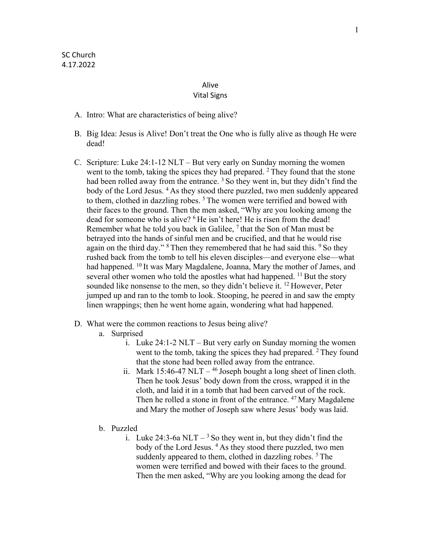## Alive

## Vital Signs

- A. Intro: What are characteristics of being alive?
- B. Big Idea: Jesus is Alive! Don't treat the One who is fully alive as though He were dead!
- C. Scripture: Luke 24:1-12 NLT But very early on Sunday morning the women went to the tomb, taking the spices they had prepared.  $2$  They found that the stone had been rolled away from the entrance.  $3$  So they went in, but they didn't find the body of the Lord Jesus. 4 As they stood there puzzled, two men suddenly appeared to them, clothed in dazzling robes.  $5$  The women were terrified and bowed with their faces to the ground. Then the men asked, "Why are you looking among the dead for someone who is alive? <sup>6</sup>He isn't here! He is risen from the dead! Remember what he told you back in Galilee,  $<sup>7</sup>$  that the Son of Man must be</sup> betrayed into the hands of sinful men and be crucified, and that he would rise again on the third day."  $8$  Then they remembered that he had said this.  $9$  So they rushed back from the tomb to tell his eleven disciples—and everyone else—what had happened. <sup>10</sup> It was Mary Magdalene, Joanna, Mary the mother of James, and several other women who told the apostles what had happened. <sup>11</sup> But the story sounded like nonsense to the men, so they didn't believe it.  $12$  However, Peter jumped up and ran to the tomb to look. Stooping, he peered in and saw the empty linen wrappings; then he went home again, wondering what had happened.
- D. What were the common reactions to Jesus being alive?
	- a. Surprised
		- i. Luke 24:1-2 NLT But very early on Sunday morning the women went to the tomb, taking the spices they had prepared.  $2$  They found that the stone had been rolled away from the entrance.
		- ii. Mark  $15:46-47$  NLT  $-$  <sup>46</sup> Joseph bought a long sheet of linen cloth. Then he took Jesus' body down from the cross, wrapped it in the cloth, and laid it in a tomb that had been carved out of the rock. Then he rolled a stone in front of the entrance. <sup>47</sup> Mary Magdalene and Mary the mother of Joseph saw where Jesus' body was laid.
	- b. Puzzled
		- i. Luke 24:3-6a NLT  $-$ <sup>3</sup> So they went in, but they didn't find the body of the Lord Jesus. <sup>4</sup> As they stood there puzzled, two men suddenly appeared to them, clothed in dazzling robes.<sup>5</sup> The women were terrified and bowed with their faces to the ground. Then the men asked, "Why are you looking among the dead for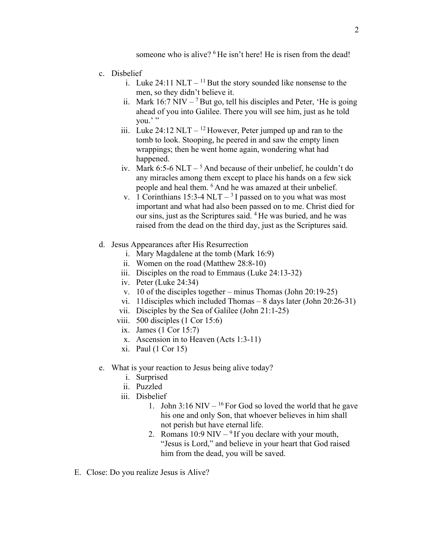someone who is alive? <sup>6</sup> He isn't here! He is risen from the dead!

- c. Disbelief
	- i. Luke 24:11 NLT  $^{11}$  But the story sounded like nonsense to the men, so they didn't believe it.
	- ii. Mark 16:7 NIV  $<sup>7</sup>$  But go, tell his disciples and Peter, 'He is going</sup> ahead of you into Galilee. There you will see him, just as he told you.'"
	- iii. Luke 24:12 NLT  $^{12}$  However, Peter jumped up and ran to the tomb to look. Stooping, he peered in and saw the empty linen wrappings; then he went home again, wondering what had happened.
	- iv. Mark 6:5-6 NLT  $5$  And because of their unbelief, he couldn't do any miracles among them except to place his hands on a few sick people and heal them. 6 And he was amazed at their unbelief.
	- v. 1 Corinthians 15:3-4 NLT  $-$ <sup>3</sup>I passed on to you what was most important and what had also been passed on to me. Christ died for our sins, just as the Scriptures said. 4 He was buried, and he was raised from the dead on the third day, just as the Scriptures said.
- d. Jesus Appearances after His Resurrection
	- i. Mary Magdalene at the tomb (Mark 16:9)
	- ii. Women on the road (Matthew 28:8-10)
	- iii. Disciples on the road to Emmaus (Luke 24:13-32)
	- iv. Peter (Luke 24:34)
	- v. 10 of the disciples together minus Thomas (John 20:19-25)
	- vi. 11disciples which included Thomas 8 days later (John 20:26-31)
	- vii. Disciples by the Sea of Galilee (John 21:1-25)
	- viii. 500 disciples (1 Cor 15:6)
	- ix. James (1 Cor 15:7)
	- x. Ascension in to Heaven (Acts 1:3-11)
	- xi. Paul (1 Cor 15)
- e. What is your reaction to Jesus being alive today?
	- i. Surprised
	- ii. Puzzled
	- iii. Disbelief
		- 1. John  $3:16$  NIV <sup>16</sup> For God so loved the world that he gave his one and only Son, that whoever believes in him shall not perish but have eternal life.
		- 2. Romans  $10:9$  NIV  $9$  If you declare with your mouth, "Jesus is Lord," and believe in your heart that God raised him from the dead, you will be saved.
- E. Close: Do you realize Jesus is Alive?